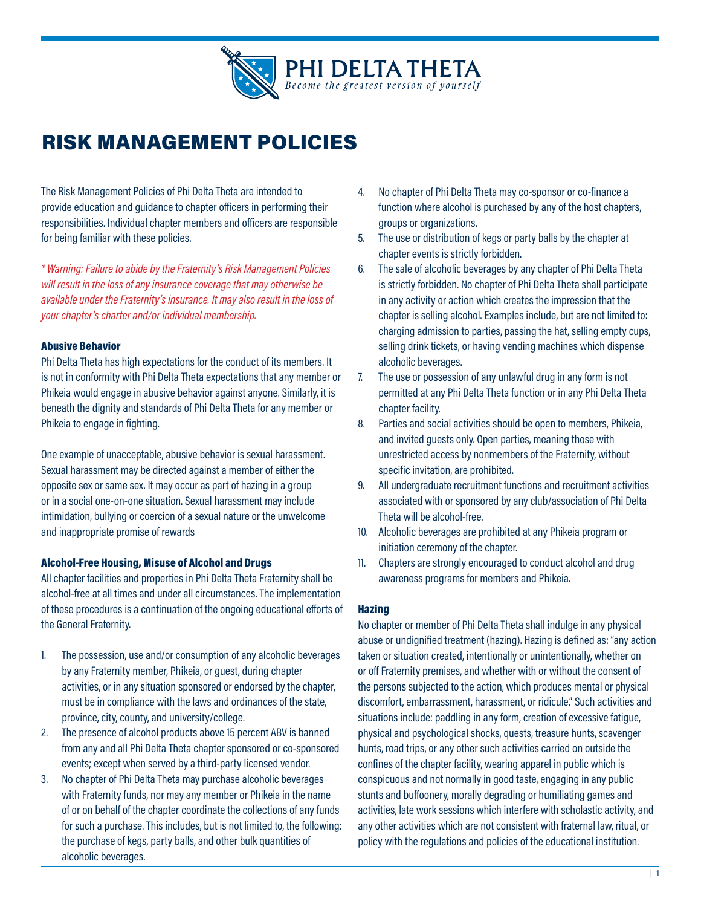

# RISK MANAGEMENT POLICIES

The Risk Management Policies of Phi Delta Theta are intended to provide education and guidance to chapter officers in performing their responsibilities. Individual chapter members and officers are responsible for being familiar with these policies.

*\* Warning: Failure to abide by the Fraternity's Risk Management Policies will result in the loss of any insurance coverage that may otherwise be available under the Fraternity's insurance. It may also result in the loss of your chapter's charter and/or individual membership.*

# Abusive Behavior

Phi Delta Theta has high expectations for the conduct of its members. It is not in conformity with Phi Delta Theta expectations that any member or Phikeia would engage in abusive behavior against anyone. Similarly, it is beneath the dignity and standards of Phi Delta Theta for any member or Phikeia to engage in fighting.

One example of unacceptable, abusive behavior is sexual harassment. Sexual harassment may be directed against a member of either the opposite sex or same sex. It may occur as part of hazing in a group or in a social one-on-one situation. Sexual harassment may include intimidation, bullying or coercion of a sexual nature or the unwelcome and inappropriate promise of rewards

## Alcohol-Free Housing, Misuse of Alcohol and Drugs

All chapter facilities and properties in Phi Delta Theta Fraternity shall be alcohol-free at all times and under all circumstances. The implementation of these procedures is a continuation of the ongoing educational efforts of the General Fraternity.

- 1. The possession, use and/or consumption of any alcoholic beverages by any Fraternity member, Phikeia, or guest, during chapter activities, or in any situation sponsored or endorsed by the chapter, must be in compliance with the laws and ordinances of the state, province, city, county, and university/college.
- 2. The presence of alcohol products above 15 percent ABV is banned from any and all Phi Delta Theta chapter sponsored or co-sponsored events; except when served by a third-party licensed vendor.
- 3. No chapter of Phi Delta Theta may purchase alcoholic beverages with Fraternity funds, nor may any member or Phikeia in the name of or on behalf of the chapter coordinate the collections of any funds for such a purchase. This includes, but is not limited to, the following: the purchase of kegs, party balls, and other bulk quantities of alcoholic beverages.
- 4. No chapter of Phi Delta Theta may co-sponsor or co-finance a function where alcohol is purchased by any of the host chapters, groups or organizations.
- 5. The use or distribution of kegs or party balls by the chapter at chapter events is strictly forbidden.
- 6. The sale of alcoholic beverages by any chapter of Phi Delta Theta is strictly forbidden. No chapter of Phi Delta Theta shall participate in any activity or action which creates the impression that the chapter is selling alcohol. Examples include, but are not limited to: charging admission to parties, passing the hat, selling empty cups, selling drink tickets, or having vending machines which dispense alcoholic beverages.
- 7. The use or possession of any unlawful drug in any form is not permitted at any Phi Delta Theta function or in any Phi Delta Theta chapter facility.
- 8. Parties and social activities should be open to members, Phikeia, and invited guests only. Open parties, meaning those with unrestricted access by nonmembers of the Fraternity, without specific invitation, are prohibited.
- 9. All undergraduate recruitment functions and recruitment activities associated with or sponsored by any club/association of Phi Delta Theta will be alcohol-free.
- 10. Alcoholic beverages are prohibited at any Phikeia program or initiation ceremony of the chapter.
- 11. Chapters are strongly encouraged to conduct alcohol and drug awareness programs for members and Phikeia.

## Hazing

No chapter or member of Phi Delta Theta shall indulge in any physical abuse or undignified treatment (hazing). Hazing is defined as: "any action taken or situation created, intentionally or unintentionally, whether on or off Fraternity premises, and whether with or without the consent of the persons subjected to the action, which produces mental or physical discomfort, embarrassment, harassment, or ridicule." Such activities and situations include: paddling in any form, creation of excessive fatigue, physical and psychological shocks, quests, treasure hunts, scavenger hunts, road trips, or any other such activities carried on outside the confines of the chapter facility, wearing apparel in public which is conspicuous and not normally in good taste, engaging in any public stunts and buffoonery, morally degrading or humiliating games and activities, late work sessions which interfere with scholastic activity, and any other activities which are not consistent with fraternal law, ritual, or policy with the regulations and policies of the educational institution.